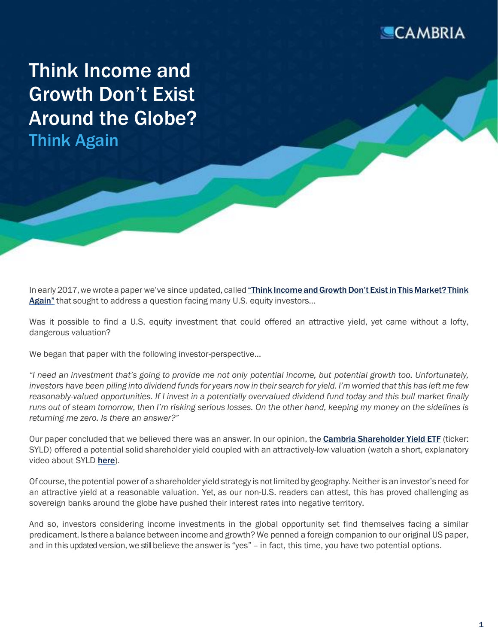

Think Income and Growth Don't Exist Around the Globe? Think Again

In early 2017, we wrote a paper we've since updated, called "Think Income and Growth Don't Exist in This Market? Think [Again"](https://www.cambriainvestments.com/wp-content/uploads/2022/05/20220331.SYLDWP.FINAL_.pdf) that sought to address a question facing many U.S. equity investors…

Was it possible to find a U.S. equity investment that could offered an attractive yield, yet came without a lofty, dangerous valuation?

We began that paper with the following investor-perspective...

"I need an investment that's going to provide me not only potential income, but potential growth too. Unfortunately, investors have been piling into dividend funds for years now in their search for yield. I'm worried that this has left me few reasonably-valued opportunities. If I invest in a potentially overvalued dividend fund today and this bull market finally runs out of steam tomorrow, then I'm risking serious losses. On the other hand, keeping my money on the sidelines is *returning me zero. Is there an answer?"*

Our paper concluded that we believed there was an answer. In our opinion, the [Cambria Shareholder Yield ETF](http://cambriafunds.com/syld) (ticker: SYLD) offered a potential solid shareholder yield coupled with an attractively-low valuation (watch a short, explanatory video about SYLD [here](https://youtu.be/HLIjX17odbg)).

Of course, the potential power of a shareholder yield strategy is not limited by geography. Neither is an investor's need for an attractive yield at a reasonable valuation. Yet, as our non-U.S. readers can attest, this has proved challenging as sovereign banks around the globe have pushed their interest rates into negative territory.

And so, investors considering income investments in the global opportunity set find themselves facing a similar predicament. Is there a balance between income and growth? We penned a foreign companion to our original US paper, and in this updated version, we still believe the answer is "yes" - in fact, this time, you have two potential options.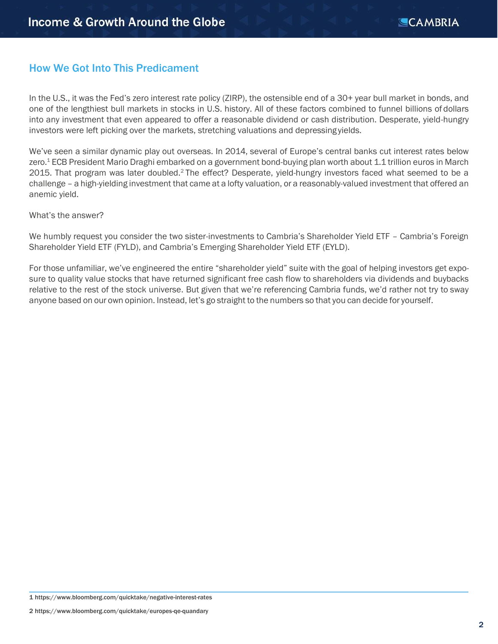## How We Got Into This Predicament

In the U.S., it was the Fed's zero interest rate policy (ZIRP), the ostensible end of a 30+ year bull market in bonds, and one of the lengthiest bull markets in stocks in U.S. history. All of these factors combined to funnel billions of dollars into any investment that even appeared to offer a reasonable dividend or cash distribution. Desperate, yield-hungry investors were left picking over the markets, stretching valuations and depressing yields.

We've seen a similar dynamic play out overseas. In 2014, several of Europe's central banks cut interest rates below zero.<sup>1</sup> ECB President Mario Draghi embarked on a government bond-buying plan worth about 1.1 trillion euros in March 2015. That program was later doubled.<sup>2</sup> The effect? Desperate, yield-hungry investors faced what seemed to be a challenge – a high-yielding investment that came at a lofty valuation, or a reasonably-valued investment that offered an anemic yield.

#### What's the answer?

We humbly request you consider the two sister-investments to Cambria's Shareholder Yield ETF - Cambria's Foreign Shareholder Yield ETF (FYLD), and Cambria's Emerging Shareholder Yield ETF (EYLD).

For those unfamiliar, we've engineered the entire "shareholder yield" suite with the goal of helping investors get exposure to quality value stocks that have returned significant free cash flow to shareholders via dividends and buybacks relative to the rest of the stock universe. But given that we're referencing Cambria funds, we'd rather not try to sway anyone based on our own opinion. Instead, let's go straight to the numbers so that you can decide for yourself.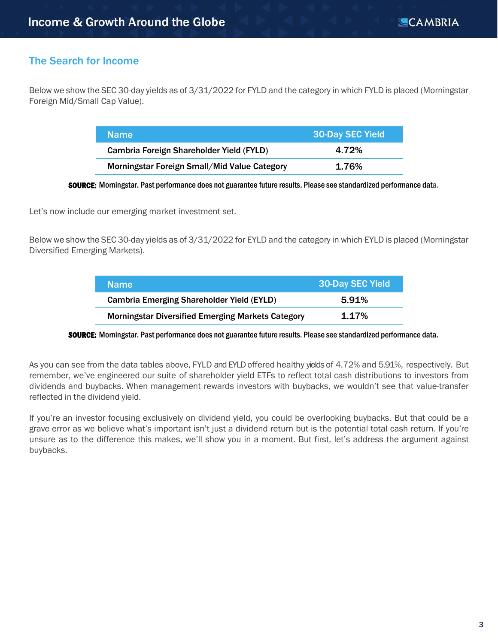## The Search for Income

Below we show the SEC 30-day yields as of 3/31/2022 for FYLD and the category in which FYLD is placed (Morningstar Foreign Mid/Small Cap Value).

| <b>Name</b>                                  | <b>30-Day SEC Yield</b> |
|----------------------------------------------|-------------------------|
| Cambria Foreign Shareholder Yield (FYLD)     | 4.72%                   |
| Morningstar Foreign Small/Mid Value Category | 1.76%                   |

SOURCE: Morningstar. Past performance does not guarantee future results. Please see standardized performance data.

Let's now include our emerging market investment set.

Below we show the SEC 30-day yields as of 3/31/2022 for EYLD and the category in which EYLD is placed (Morningstar Diversified Emerging Markets).

| <b>Name</b>                                              | <b>30-Day SEC Yield</b> |
|----------------------------------------------------------|-------------------------|
| <b>Cambria Emerging Shareholder Yield (EYLD)</b>         | 5.91%                   |
| <b>Morningstar Diversified Emerging Markets Category</b> | 1.17%                   |

SOURCE: Morningstar. Past performance does not guarantee future results. Please see standardized performance data.

As you can see from the data tables above, FYLD and EYLD offered healthy yields of 4.72% and 5.91%, respectively. But remember, we've engineered our suite of shareholder yield ETFs to reflect total cash distributions to investors from dividends and buybacks. When management rewards investors with buybacks, we wouldn't see that value-transfer reflected in the dividend yield.

If you're an investor focusing exclusively on dividend yield, you could be overlooking buybacks. But that could be a grave error as we believe what's important isn't just a dividend return but is the potential total cash return. If you're unsure as to the difference this makes, we'll show you in a moment. But first, let's address the argument against buybacks.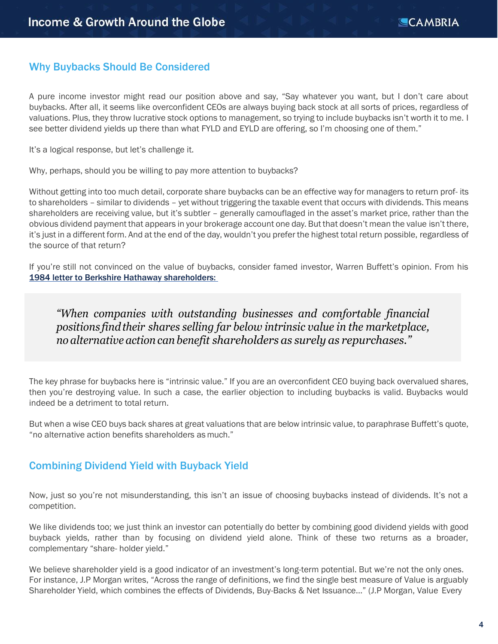## Why Buybacks Should Be Considered

A pure income investor might read our position above and say, "Say whatever you want, but I don't care about buybacks. After all, it seems like overconfident CEOs are always buying back stock at all sorts of prices, regardless of valuations. Plus, they throw lucrative stock options to management, so trying to include buybacks isn't worth it to me. I see better dividend yields up there than what FYLD and EYLD are offering, so I'm choosing one of them."

It's a logical response, but let's challenge it.

Why, perhaps, should you be willing to pay more attention to buybacks?

Without getting into too much detail, corporate share buybacks can be an effective way for managers to return prof- its to shareholders – similar to dividends – yet without triggering the taxable event that occurs with dividends. This means shareholders are receiving value, but it's subtler – generally camouflaged in the asset's market price, rather than the obvious dividend payment that appears in your brokerage account one day. But that doesn't mean the value isn't there, it's just in a different form. And at the end of the day, wouldn't you prefer the highest total return possible, regardless of the source of that return?

If you're still not convinced on the value of buybacks, consider famed investor, Warren Buffett's opinion. From his [1984 letter to Berkshire Hathaway shareholders:](http://www.berkshirehathaway.com/letters/1984.html) 

*"When companies with outstanding businesses and comfortable financial positions findtheir shares selling far below intrinsic value in the marketplace, no alternative action can benefit shareholders as surely as repurchases."*

The key phrase for buybacks here is "intrinsic value." If you are an overconfident CEO buying back overvalued shares, then you're destroying value. In such a case, the earlier objection to including buybacks is valid. Buybacks would indeed be a detriment to total return.

But when a wise CEO buys back shares at great valuations that are below intrinsic value, to paraphrase Buffett's quote, "no alternative action benefits shareholders as much."

#### Combining Dividend Yield with Buyback Yield

Now, just so you're not misunderstanding, this isn't an issue of choosing buybacks instead of dividends. It's not a competition.

We like dividends too; we just think an investor can potentially do better by combining good dividend yields with good buyback yields, rather than by focusing on dividend yield alone. Think of these two returns as a broader, complementary "share- holder yield."

We believe shareholder yield is a good indicator of an investment's long-term potential. But we're not the only ones. For instance, J.P Morgan writes, "Across the range of definitions, we find the single best measure of Value is arguably Shareholder Yield, which combines the effects of Dividends, Buy-Backs & Net Issuance…" (J.P Morgan, Value Every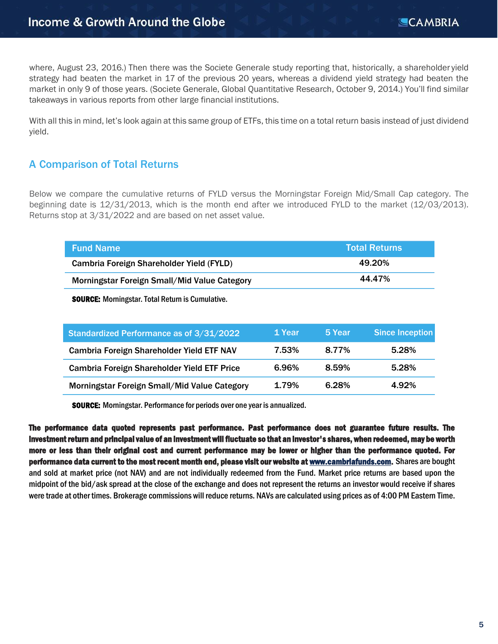where, August 23, 2016.) Then there was the Societe Generale study reporting that, historically, a shareholder yield strategy had beaten the market in 17 of the previous 20 years, whereas a dividend yield strategy had beaten the market in only 9 of those years. (Societe Generale, Global Quantitative Research, October 9, 2014.) You'll find similar takeaways in various reports from other large financial institutions.

With all this in mind, let's look again at this same group of ETFs, this time on a total return basis instead of just dividend yield.

## A Comparison of Total Returns

Below we compare the cumulative returns of FYLD versus the Morningstar Foreign Mid/Small Cap category. The beginning date is 12/31/2013, which is the month end after we introduced FYLD to the market (12/03/2013). Returns stop at 3/31/2022 and are based on net asset value.

| <b>Fund Name</b>                             | <b>Total Returns</b> \ |
|----------------------------------------------|------------------------|
| Cambria Foreign Shareholder Yield (FYLD)     | 49.20%                 |
| Morningstar Foreign Small/Mid Value Category | 44.47%                 |

SOURCE: Morningstar. Total Return is Cumulative.

| Standardized Performance as of 3/31/2022     | 1 Year | 5 Year | <b>Since Inception</b> |
|----------------------------------------------|--------|--------|------------------------|
| Cambria Foreign Shareholder Yield ETF NAV    | 7.53%  | 8.77%  | 5.28%                  |
| Cambria Foreign Shareholder Yield ETF Price  | 6.96%  | 8.59%  | 5.28%                  |
| Morningstar Foreign Small/Mid Value Category | 1.79%  | 6.28%  | 4.92%                  |

SOURCE: Morningstar. Performance for periods over one year is annualized.

The performance data quoted represents past performance. Past performance does not guarantee future results. The investment return and principal value of an investment will fluctuate so that an investor's shares, when redeemed, may be worth more or less than their original cost and current performance may be lower or higher than the performance quoted. For performance data current to the most recent month end, please visit our website a[t www.cambriafunds.com.](http://www.cambriafunds.com/)Shares are bought and sold at market price (not NAV) and are not individually redeemed from the Fund. Market price returns are based upon the midpoint of the bid/ask spread at the close of the exchange and does not represent the returns an investor would receive if shares were trade at other times. Brokerage commissions will reduce returns. NAVs are calculated using prices as of 4:00 PM Eastern Time.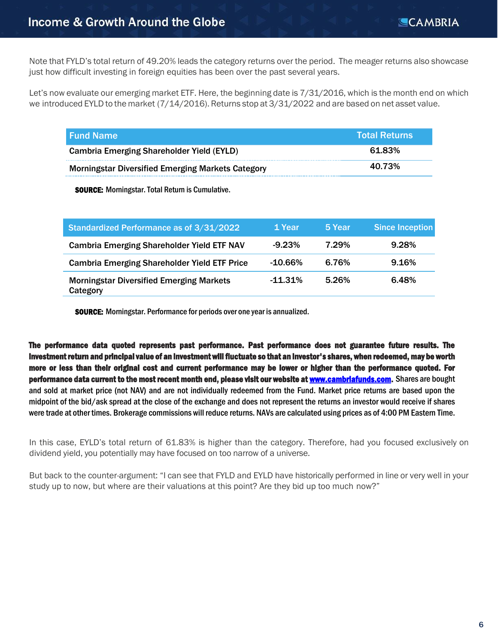Note that FYLD's total return of 49.20% leads the category returns over the period. The meager returns also showcase just how difficult investing in foreign equities has been over the past several years.

Let's now evaluate our emerging market ETF. Here, the beginning date is 7/31/2016, which is the month end on which we introduced EYLD to the market (7/14/2016). Returns stop at 3/31/2022 and are based on net asset value.

| l Fund Name                                              | <b>Total Returns</b> |
|----------------------------------------------------------|----------------------|
| <b>Cambria Emerging Shareholder Yield (EYLD)</b>         | 61.83%               |
| <b>Morningstar Diversified Emerging Markets Category</b> | 40.73%               |

SOURCE: Morningstar. Total Return is Cumulative.

| Standardized Performance as of 3/31/2022                    | 1 Year     | 5 Year | <b>Since Inception</b> |
|-------------------------------------------------------------|------------|--------|------------------------|
| <b>Cambria Emerging Shareholder Yield ETF NAV</b>           | $-9.23%$   | 7.29%  | 9.28%                  |
| <b>Cambria Emerging Shareholder Yield ETF Price</b>         | $-10.66\%$ | 6.76%  | 9.16%                  |
| <b>Morningstar Diversified Emerging Markets</b><br>Category | $-11.31%$  | 5.26%  | 6.48%                  |

SOURCE: Morningstar. Performance for periods over one year is annualized.

The performance data quoted represents past performance. Past performance does not guarantee future results. The investment return and principal value of an investment will fluctuate so that an investor's shares, when redeemed, may be worth more or less than their original cost and current performance may be lower or higher than the performance quoted. For performance data current to the most recent month end, please visit our website a[t www.cambriafunds.com.](http://www.cambriafunds.com/)Shares are bought and sold at market price (not NAV) and are not individually redeemed from the Fund. Market price returns are based upon the midpoint of the bid/ask spread at the close of the exchange and does not represent the returns an investor would receive if shares were trade at other times. Brokerage commissions will reduce returns. NAVs are calculated using prices as of 4:00 PM Eastern Time.

In this case, EYLD's total return of 61.83% is higher than the category. Therefore, had you focused exclusively on dividend yield, you potentially may have focused on too narrow of a universe.

But back to the counter-argument: "I can see that FYLD and EYLD have historically performed in line or very well in your study up to now, but where are their valuations at this point? Are they bid up too much now?"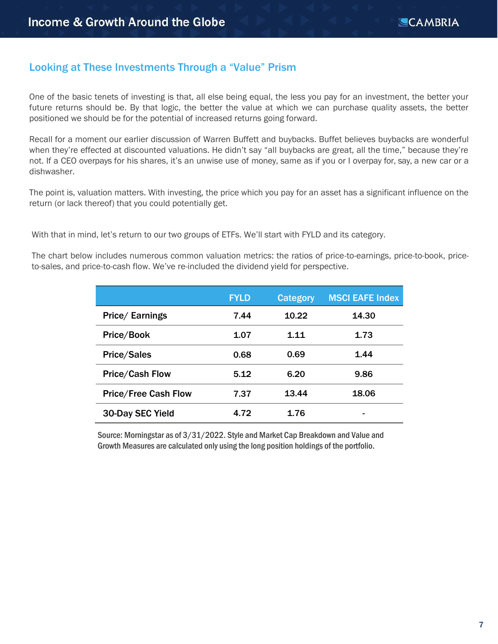### Looking at These Investments Through a "Value" Prism

One of the basic tenets of investing is that, all else being equal, the less you pay for an investment, the better your future returns should be. By that logic, the better the value at which we can purchase quality assets, the better positioned we should be for the potential of increased returns going forward.

Recall for a moment our earlier discussion of Warren Buffett and buybacks. Buffet believes buybacks are wonderful when they're effected at discounted valuations. He didn't say "all buybacks are great, all the time," because they're not. If a CEO overpays for his shares, it's an unwise use of money, same as if you or I overpay for, say, a new car or a dishwasher.

The point is, valuation matters. With investing, the price which you pay for an asset has a significant influence on the return (or lack thereof) that you could potentially get.

With that in mind, let's return to our two groups of ETFs. We'll start with FYLD and its category.

The chart below includes numerous common valuation metrics: the ratios of price-to-earnings, price-to-book, priceto-sales, and price-to-cash flow. We've re-included the dividend yield for perspective.

|                             | <b>FYLD</b> | Category | <b>MSCI EAFE Index</b> |
|-----------------------------|-------------|----------|------------------------|
| Price/ Earnings             | 7.44        | 10.22    | 14.30                  |
| Price/Book                  | 1.07        | 1.11     | 1.73                   |
| <b>Price/Sales</b>          | 0.68        | 0.69     | 1.44                   |
| <b>Price/Cash Flow</b>      | 5.12        | 6.20     | 9.86                   |
| <b>Price/Free Cash Flow</b> | 7.37        | 13.44    | 18.06                  |
| <b>30-Day SEC Yield</b>     | 4.72        | 1.76     | -                      |

Source: Morningstar as of 3/31/2022. Style and Market Cap Breakdown and Value and Growth Measures are calculated only using the long position holdings of the portfolio.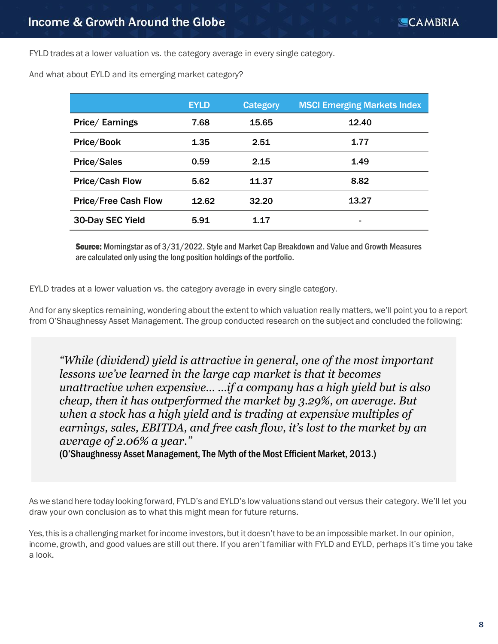FYLD trades at a lower valuation vs. the category average in every single category.

And what about EYLD and its emerging market category?

|                             | <b>EYLD</b> | <b>Category</b> | <b>MSCI Emerging Markets Index</b> |
|-----------------------------|-------------|-----------------|------------------------------------|
| Price/ Earnings             | 7.68        | 15.65           | 12.40                              |
| Price/Book                  | 1.35        | 2.51            | 1.77                               |
| <b>Price/Sales</b>          | 0.59        | 2.15            | 1.49                               |
| <b>Price/Cash Flow</b>      | 5.62        | 11.37           | 8.82                               |
| <b>Price/Free Cash Flow</b> | 12.62       | 32.20           | 13.27                              |
| 30-Day SEC Yield            | 5.91        | 1.17            | ٠                                  |

Source: Morningstar as of  $3/31/2022$ . Style and Market Cap Breakdown and Value and Growth Measures are calculated only using the long position holdings of the portfolio.

EYLD trades at a lower valuation vs. the category average in every single category.

And for any skeptics remaining, wondering about the extent to which valuation really matters, we'll point you to a report from O'Shaughnessy Asset Management. The group conducted research on the subject and concluded the following:

*"While (dividend) yield is attractive in general, one of the most important lessons we've learned in the large cap market is that it becomes unattractive when expensive… …if a company has a high yield but is also cheap, then it has outperformed the market by 3.29%, on average. But when a stock has a high yield and is trading at expensive multiples of earnings, sales, EBITDA, and free cash flow, it's lost to the market by an average of 2.06% a year."* 

(O'Shaughnessy Asset Management, The Myth of the Most Efficient Market, 2013.)

As we stand here today looking forward, FYLD's and EYLD's low valuations stand out versus their category. We'll let you draw your own conclusion as to what this might mean for future returns.

Yes, this is a challenging market for income investors, but it doesn't have to be an impossible market. In our opinion, income, growth, and good values are still out there. If you aren't familiar with FYLD and EYLD, perhaps it's time you take a look.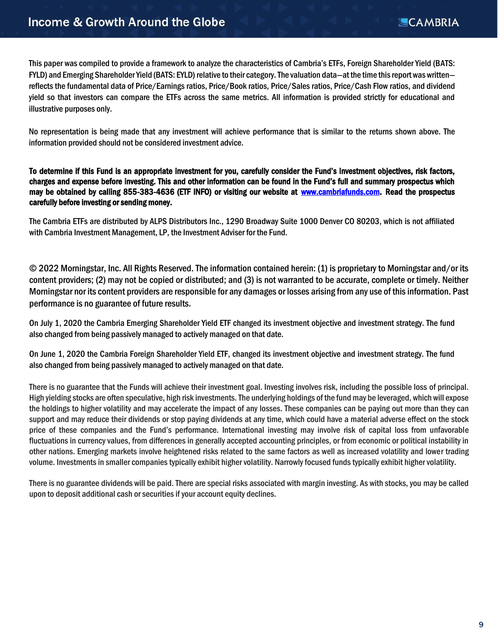This paper was compiled to provide a framework to analyze the characteristics of Cambria's ETFs, Foreign Shareholder Yield (BATS: FYLD) and Emerging Shareholder Yield (BATS: EYLD) relative to their category. The valuation data—at the time this report was written reflects the fundamental data of Price/Earnings ratios, Price/Book ratios, Price/Sales ratios, Price/Cash Flow ratios, and dividend yield so that investors can compare the ETFs across the same metrics. All information is provided strictly for educational and illustrative purposes only.

No representation is being made that any investment will achieve performance that is similar to the returns shown above. The information provided should not be considered investment advice.

To determine if this Fund is an appropriate investment for you, carefully consider the Fund's investment objectives, risk factors, charges and expense before investing. This and other information can be found in the Fund's full and summary prospectus which may be obtained by calling 855-383-4636 (ETF INFO) or visiting our website at [www.cambriafunds.com](http://www.cambriafunds.com/). Read the prospectus carefully before investing or sending money.

The Cambria ETFs are distributed by ALPS Distributors Inc., 1290 Broadway Suite 1000 Denver CO 80203, which is not affiliated with Cambria Investment Management, LP, the Investment Adviser for the Fund.

© 2022 Morningstar, Inc. All Rights Reserved. The information contained herein: (1) is proprietary to Morningstar and/or its content providers; (2) may not be copied or distributed; and (3) is not warranted to be accurate, complete or timely. Neither Morningstar nor its content providers are responsible for any damages or losses arising from any use of this information. Past performance is no guarantee of future results.

On July 1, 2020 the Cambria Emerging Shareholder Yield ETF changed its investment objective and investment strategy. The fund also changed from being passively managed to actively managed on that date.

On June 1, 2020 the Cambria Foreign Shareholder Yield ETF, changed its investment objective and investment strategy. The fund also changed from being passively managed to actively managed on that date.

There is no guarantee that the Funds will achieve their investment goal. Investing involves risk, including the possible loss of principal. High yielding stocks are often speculative, high risk investments. The underlying holdings of the fund may be leveraged, which will expose the holdings to higher volatility and may accelerate the impact of any losses. These companies can be paying out more than they can support and may reduce their dividends or stop paying dividends at any time, which could have a material adverse effect on the stock price of these companies and the Fund's performance. International investing may involve risk of capital loss from unfavorable fluctuations in currency values, from differences in generally accepted accounting principles, or from economic or political instability in other nations. Emerging markets involve heightened risks related to the same factors as well as increased volatility and lower trading volume. Investments in smaller companies typically exhibit higher volatility. Narrowly focused funds typically exhibit higher volatility.

There is no guarantee dividends will be paid. There are special risks associated with margin investing. As with stocks, you may be called upon to deposit additional cash or securities if your account equity declines.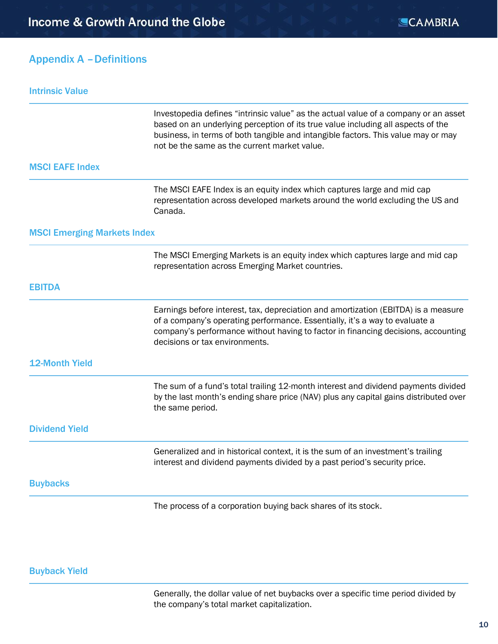### Appendix A –Definitions

| <b>Intrinsic Value</b>             |                                                                                                                                                                                                                                                                                                              |
|------------------------------------|--------------------------------------------------------------------------------------------------------------------------------------------------------------------------------------------------------------------------------------------------------------------------------------------------------------|
|                                    | Investopedia defines "intrinsic value" as the actual value of a company or an asset<br>based on an underlying perception of its true value including all aspects of the<br>business, in terms of both tangible and intangible factors. This value may or may<br>not be the same as the current market value. |
| <b>MSCI EAFE Index</b>             |                                                                                                                                                                                                                                                                                                              |
|                                    | The MSCI EAFE Index is an equity index which captures large and mid cap<br>representation across developed markets around the world excluding the US and<br>Canada.                                                                                                                                          |
| <b>MSCI Emerging Markets Index</b> |                                                                                                                                                                                                                                                                                                              |
|                                    | The MSCI Emerging Markets is an equity index which captures large and mid cap<br>representation across Emerging Market countries.                                                                                                                                                                            |
| <b>EBITDA</b>                      |                                                                                                                                                                                                                                                                                                              |
|                                    | Earnings before interest, tax, depreciation and amortization (EBITDA) is a measure<br>of a company's operating performance. Essentially, it's a way to evaluate a<br>company's performance without having to factor in financing decisions, accounting<br>decisions or tax environments.                     |
| <b>12-Month Yield</b>              |                                                                                                                                                                                                                                                                                                              |
|                                    | The sum of a fund's total trailing 12-month interest and dividend payments divided<br>by the last month's ending share price (NAV) plus any capital gains distributed over<br>the same period.                                                                                                               |
| <b>Dividend Yield</b>              |                                                                                                                                                                                                                                                                                                              |
|                                    | Generalized and in historical context, it is the sum of an investment's trailing<br>interest and dividend payments divided by a past period's security price.                                                                                                                                                |
| <b>Buybacks</b>                    |                                                                                                                                                                                                                                                                                                              |
|                                    | The process of a corporation buying back shares of its stock.                                                                                                                                                                                                                                                |

#### Buyback Yield

Generally, the dollar value of net buybacks over a specific time period divided by the company's total market capitalization.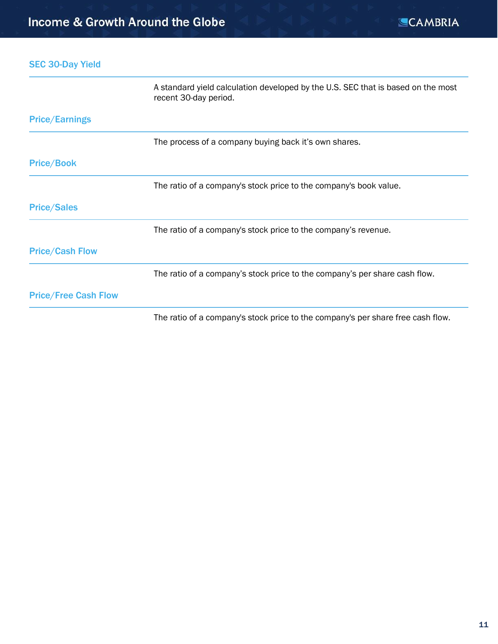SEC 30-Day Yield

|                             | A standard yield calculation developed by the U.S. SEC that is based on the most<br>recent 30-day period. |
|-----------------------------|-----------------------------------------------------------------------------------------------------------|
| <b>Price/Earnings</b>       |                                                                                                           |
|                             | The process of a company buying back it's own shares.                                                     |
| <b>Price/Book</b>           |                                                                                                           |
|                             | The ratio of a company's stock price to the company's book value.                                         |
| <b>Price/Sales</b>          |                                                                                                           |
|                             | The ratio of a company's stock price to the company's revenue.                                            |
| <b>Price/Cash Flow</b>      |                                                                                                           |
|                             | The ratio of a company's stock price to the company's per share cash flow.                                |
| <b>Price/Free Cash Flow</b> |                                                                                                           |
|                             | The ratio of a company's stock price to the company's per share free cash flow.                           |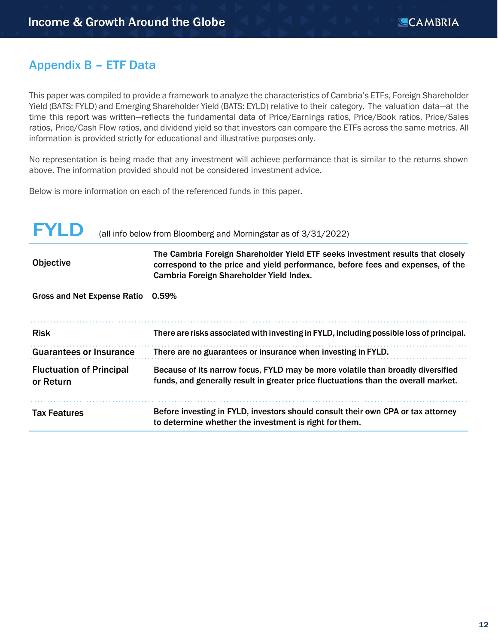# Appendix B – ETF Data

This paper was compiled to provide a framework to analyze the characteristics of Cambria's ETFs, Foreign Shareholder Yield (BATS: FYLD) and Emerging Shareholder Yield (BATS: EYLD) relative to their category. The valuation data—at the time this report was written—reflects the fundamental data of Price/Earnings ratios, Price/Book ratios, Price/Sales ratios, Price/Cash Flow ratios, and dividend yield so that investors can compare the ETFs across the same metrics. All information is provided strictly for educational and illustrative purposes only.

No representation is being made that any investment will achieve performance that is similar to the returns shown above. The information provided should not be considered investment advice.

Below is more information on each of the referenced funds in this paper.

| FYI D                                        | (all info below from Bloomberg and Morningstar as of 3/31/2022)                                                                                                                                                |
|----------------------------------------------|----------------------------------------------------------------------------------------------------------------------------------------------------------------------------------------------------------------|
| <b>Objective</b>                             | The Cambria Foreign Shareholder Yield ETF seeks investment results that closely<br>correspond to the price and yield performance, before fees and expenses, of the<br>Cambria Foreign Shareholder Yield Index. |
| <b>Gross and Net Expense Ratio</b>           | 0.59%                                                                                                                                                                                                          |
| <b>Risk</b>                                  | There are risks associated with investing in FYLD, including possible loss of principal.                                                                                                                       |
| <b>Guarantees or Insurance</b>               | There are no guarantees or insurance when investing in FYLD.                                                                                                                                                   |
| <b>Fluctuation of Principal</b><br>or Return | Because of its narrow focus, FYLD may be more volatile than broadly diversified<br>funds, and generally result in greater price fluctuations than the overall market.                                          |
| <b>Tax Features</b>                          | Before investing in FYLD, investors should consult their own CPA or tax attorney<br>to determine whether the investment is right for them.                                                                     |